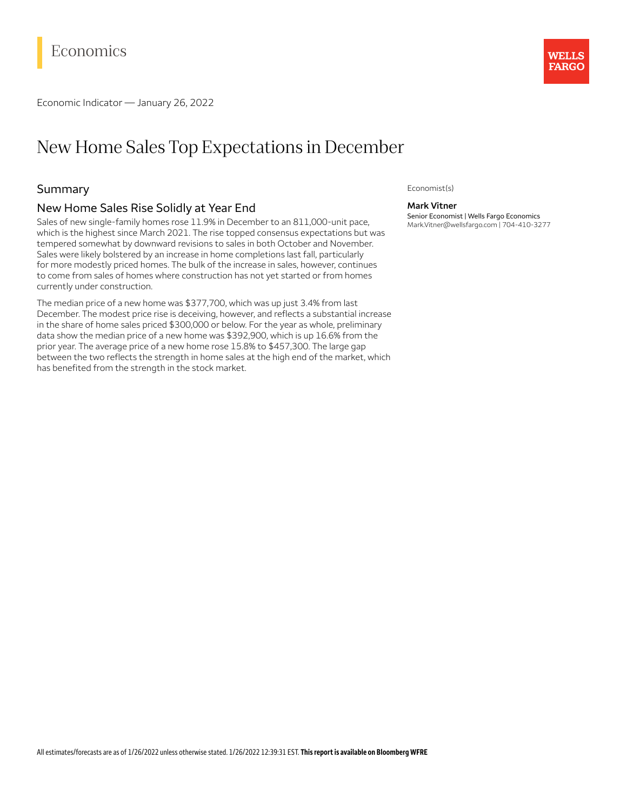# Economics

Economic Indicator — January 26, 2022

## New Home Sales Top Expectations in December

## Summary

## New Home Sales Rise Solidly at Year End

Sales of new single-family homes rose 11.9% in December to an 811,000-unit pace, which is the highest since March 2021. The rise topped consensus expectations but was tempered somewhat by downward revisions to sales in both October and November. Sales were likely bolstered by an increase in home completions last fall, particularly for more modestly priced homes. The bulk of the increase in sales, however, continues to come from sales of homes where construction has not yet started or from homes currently under construction.

The median price of a new home was \$377,700, which was up just 3.4% from last December. The modest price rise is deceiving, however, and reflects a substantial increase in the share of home sales priced \$300,000 or below. For the year as whole, preliminary data show the median price of a new home was \$392,900, which is up 16.6% from the prior year. The average price of a new home rose 15.8% to \$457,300. The large gap between the two reflects the strength in home sales at the high end of the market, which has benefited from the strength in the stock market.

#### Economist(s)

#### **Mark Vitner**

Senior Economist | Wells Fargo Economics Mark.Vitner@wellsfargo.com | 704-410-3277

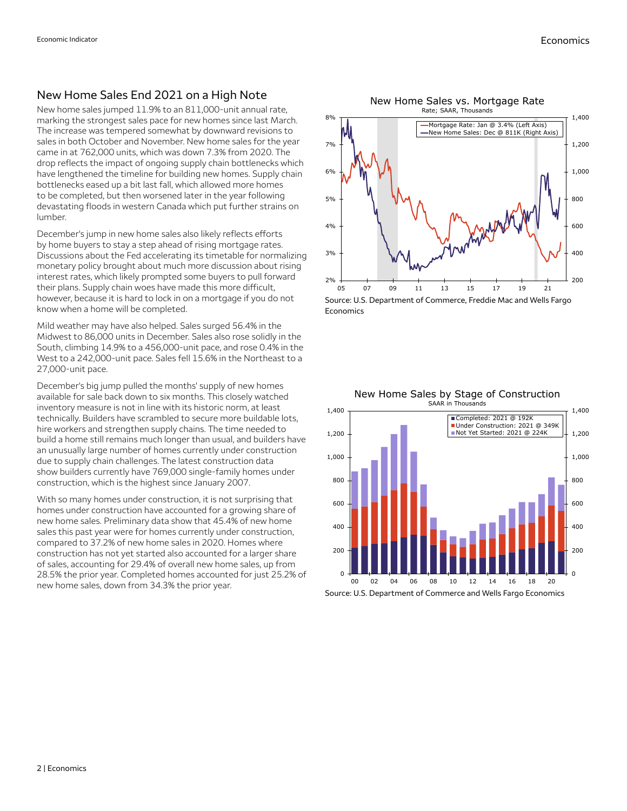### Economic Indicator **Economics Economics Economics Economics Economics**

## New Home Sales End 2021 on a High Note

New home sales jumped 11.9% to an 811,000-unit annual rate, marking the strongest sales pace for new homes since last March. The increase was tempered somewhat by downward revisions to sales in both October and November. New home sales for the year came in at 762,000 units, which was down 7.3% from 2020. The drop reflects the impact of ongoing supply chain bottlenecks which have lengthened the timeline for building new homes. Supply chain bottlenecks eased up a bit last fall, which allowed more homes to be completed, but then worsened later in the year following devastating floods in western Canada which put further strains on lumber.

December's jump in new home sales also likely reflects efforts by home buyers to stay a step ahead of rising mortgage rates. Discussions about the Fed accelerating its timetable for normalizing monetary policy brought about much more discussion about rising interest rates, which likely prompted some buyers to pull forward their plans. Supply chain woes have made this more difficult, however, because it is hard to lock in on a mortgage if you do not know when a home will be completed.

Mild weather may have also helped. Sales surged 56.4% in the Midwest to 86,000 units in December. Sales also rose solidly in the South, climbing 14.9% to a 456,000-unit pace, and rose 0.4% in the West to a 242,000-unit pace. Sales fell 15.6% in the Northeast to a 27,000-unit pace.

December's big jump pulled the months' supply of new homes available for sale back down to six months. This closely watched inventory measure is not in line with its historic norm, at least technically. Builders have scrambled to secure more buildable lots, hire workers and strengthen supply chains. The time needed to build a home still remains much longer than usual, and builders have an unusually large number of homes currently under construction due to supply chain challenges. The latest construction data show builders currently have 769,000 single-family homes under construction, which is the highest since January 2007.

With so many homes under construction, it is not surprising that homes under construction have accounted for a growing share of new home sales. Preliminary data show that 45.4% of new home sales this past year were for homes currently under construction, compared to 37.2% of new home sales in 2020. Homes where construction has not yet started also accounted for a larger share of sales, accounting for 29.4% of overall new home sales, up from 28.5% the prior year. Completed homes accounted for just 25.2% of new home sales, down from 34.3% the prior year.



New Home Sales by Stage of Construction SAAR in Thousands

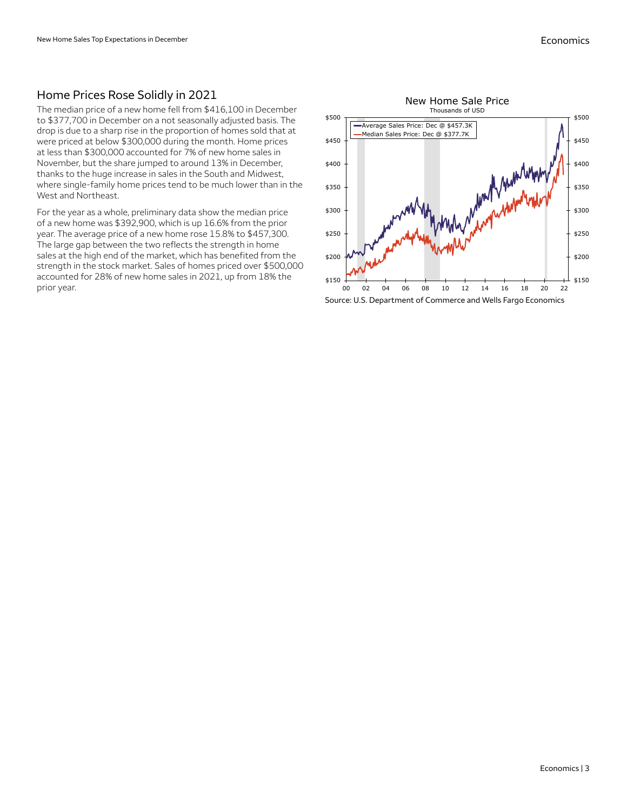## Home Prices Rose Solidly in 2021

The median price of a new home fell from \$416,100 in December to \$377,700 in December on a not seasonally adjusted basis. The drop is due to a sharp rise in the proportion of homes sold that at were priced at below \$300,000 during the month. Home prices at less than \$300,000 accounted for 7% of new home sales in November, but the share jumped to around 13% in December, thanks to the huge increase in sales in the South and Midwest, where single-family home prices tend to be much lower than in the West and Northeast.

For the year as a whole, preliminary data show the median price of a new home was \$392,900, which is up 16.6% from the prior year. The average price of a new home rose 15.8% to \$457,300. The large gap between the two reflects the strength in home sales at the high end of the market, which has benefited from the strength in the stock market. Sales of homes priced over \$500,000 accounted for 28% of new home sales in 2021, up from 18% the prior year.

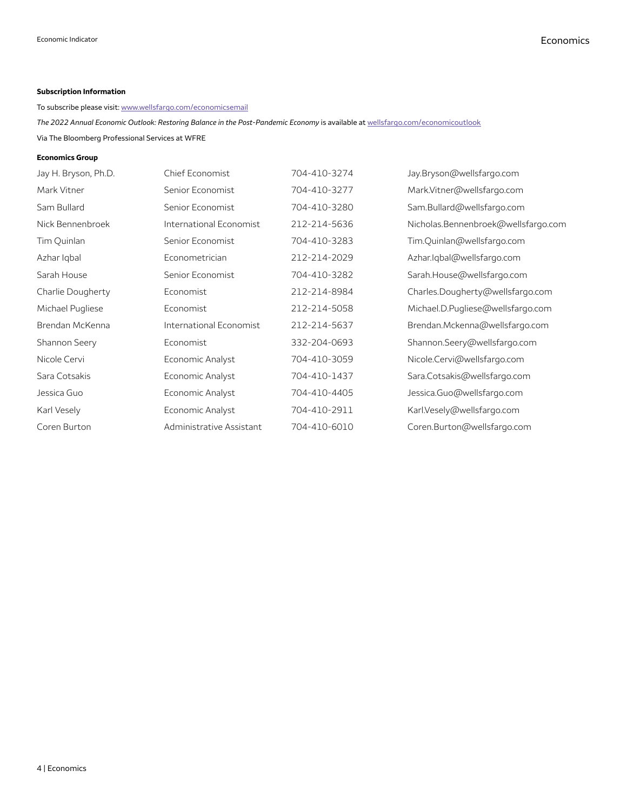#### **Subscription Information**

To subscribe please visit: [www.wellsfargo.com/economicsemail](http://www.wellsfargo.com/economicsemail)

*The 2022 Annual Economic Outlook: Restoring Balance in the Post-Pandemic Economy* is available at [wellsfargo.com/economicoutlook](http://wellsfargo.com/economicoutlook)

Via The Bloomberg Professional Services at WFRE

### **Economics Group**

| Jay H. Bryson, Ph.D. | Chief Economist          | 704-410-3274 | Jay.Bryson@wellsfargo.com           |
|----------------------|--------------------------|--------------|-------------------------------------|
| Mark Vitner          | Senior Economist         | 704-410-3277 | Mark.Vitner@wellsfargo.com          |
| Sam Bullard          | Senior Economist         | 704-410-3280 | Sam.Bullard@wellsfargo.com          |
| Nick Bennenbroek     | International Economist  | 212-214-5636 | Nicholas.Bennenbroek@wellsfargo.com |
| Tim Quinlan          | Senior Economist         | 704-410-3283 | Tim.Quinlan@wellsfargo.com          |
| Azhar Igbal          | Econometrician           | 212-214-2029 | Azhar.Iqbal@wellsfargo.com          |
| Sarah House          | Senior Economist         | 704-410-3282 | Sarah.House@wellsfargo.com          |
| Charlie Dougherty    | Economist                | 212-214-8984 | Charles.Dougherty@wellsfargo.com    |
| Michael Pugliese     | Economist                | 212-214-5058 | Michael.D.Pugliese@wellsfargo.com   |
| Brendan McKenna      | International Economist  | 212-214-5637 | Brendan.Mckenna@wellsfargo.com      |
| Shannon Seery        | Economist                | 332-204-0693 | Shannon.Seery@wellsfargo.com        |
| Nicole Cervi         | Economic Analyst         | 704-410-3059 | Nicole.Cervi@wellsfargo.com         |
| Sara Cotsakis        | Economic Analyst         | 704-410-1437 | Sara.Cotsakis@wellsfargo.com        |
| Jessica Guo          | Economic Analyst         | 704-410-4405 | Jessica.Guo@wellsfargo.com          |
| Karl Vesely          | Economic Analyst         | 704-410-2911 | Karl.Vesely@wellsfargo.com          |
| Coren Burton         | Administrative Assistant | 704-410-6010 | Coren.Burton@wellsfargo.com         |